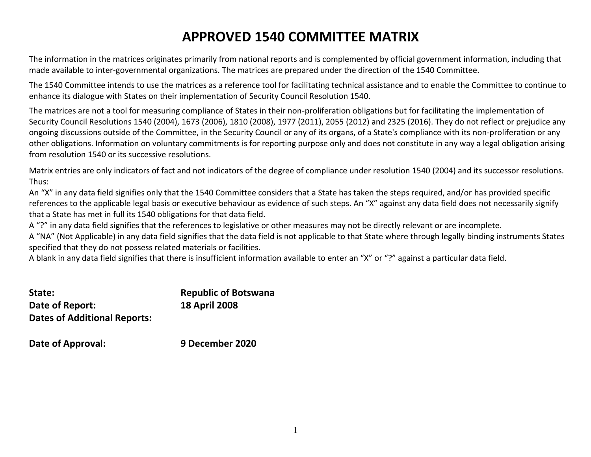## **APPROVED 1540 COMMITTEE MATRIX**

The information in the matrices originates primarily from national reports and is complemented by official government information, including that made available to inter-governmental organizations. The matrices are prepared under the direction of the 1540 Committee.

The 1540 Committee intends to use the matrices as a reference tool for facilitating technical assistance and to enable the Committee to continue to enhance its dialogue with States on their implementation of Security Council Resolution 1540.

The matrices are not a tool for measuring compliance of States in their non-proliferation obligations but for facilitating the implementation of Security Council Resolutions 1540 (2004), 1673 (2006), 1810 (2008), 1977 (2011), 2055 (2012) and 2325 (2016). They do not reflect or prejudice any ongoing discussions outside of the Committee, in the Security Council or any of its organs, of a State's compliance with its non-proliferation or any other obligations. Information on voluntary commitments is for reporting purpose only and does not constitute in any way a legal obligation arising from resolution 1540 or its successive resolutions.

Matrix entries are only indicators of fact and not indicators of the degree of compliance under resolution 1540 (2004) and its successor resolutions. Thus:

An "X" in any data field signifies only that the 1540 Committee considers that a State has taken the steps required, and/or has provided specific references to the applicable legal basis or executive behaviour as evidence of such steps. An "X" against any data field does not necessarily signify that a State has met in full its 1540 obligations for that data field.

A "?" in any data field signifies that the references to legislative or other measures may not be directly relevant or are incomplete.

A "NA" (Not Applicable) in any data field signifies that the data field is not applicable to that State where through legally binding instruments States specified that they do not possess related materials or facilities.

A blank in any data field signifies that there is insufficient information available to enter an "X" or "?" against a particular data field.

| State:                              | <b>Republic of Botswana</b> |
|-------------------------------------|-----------------------------|
| Date of Report:                     | <b>18 April 2008</b>        |
| <b>Dates of Additional Reports:</b> |                             |

**Date of Approval: 9 December 2020**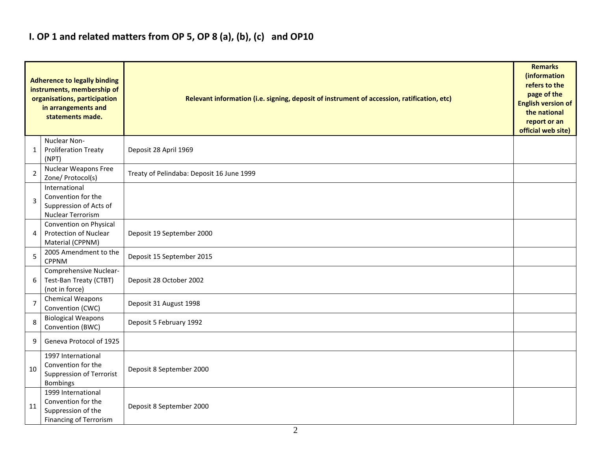### **I. OP 1 and related matters from OP 5, OP 8 (a), (b), (c) and OP10**

|                | <b>Adherence to legally binding</b><br>instruments, membership of<br>organisations, participation<br>in arrangements and<br>statements made. | Relevant information (i.e. signing, deposit of instrument of accession, ratification, etc) |  |  |  |  |  |  |  |
|----------------|----------------------------------------------------------------------------------------------------------------------------------------------|--------------------------------------------------------------------------------------------|--|--|--|--|--|--|--|
| 1              | Nuclear Non-<br><b>Proliferation Treaty</b><br>(NPT)                                                                                         | Deposit 28 April 1969                                                                      |  |  |  |  |  |  |  |
| 2              | <b>Nuclear Weapons Free</b><br>Zone/ Protocol(s)                                                                                             | Treaty of Pelindaba: Deposit 16 June 1999                                                  |  |  |  |  |  |  |  |
| 3              | International<br>Convention for the<br>Suppression of Acts of<br>Nuclear Terrorism                                                           |                                                                                            |  |  |  |  |  |  |  |
| 4              | Convention on Physical<br><b>Protection of Nuclear</b><br>Material (CPPNM)                                                                   | Deposit 19 September 2000                                                                  |  |  |  |  |  |  |  |
| 5              | 2005 Amendment to the<br><b>CPPNM</b>                                                                                                        | Deposit 15 September 2015                                                                  |  |  |  |  |  |  |  |
| 6              | Comprehensive Nuclear-<br>Test-Ban Treaty (CTBT)<br>(not in force)                                                                           | Deposit 28 October 2002                                                                    |  |  |  |  |  |  |  |
| $\overline{7}$ | Chemical Weapons<br>Convention (CWC)                                                                                                         | Deposit 31 August 1998                                                                     |  |  |  |  |  |  |  |
| 8              | <b>Biological Weapons</b><br>Convention (BWC)                                                                                                | Deposit 5 February 1992                                                                    |  |  |  |  |  |  |  |
| 9              | Geneva Protocol of 1925                                                                                                                      |                                                                                            |  |  |  |  |  |  |  |
| 10             | 1997 International<br>Convention for the<br>Suppression of Terrorist<br><b>Bombings</b>                                                      | Deposit 8 September 2000                                                                   |  |  |  |  |  |  |  |
| 11             | 1999 International<br>Convention for the<br>Suppression of the<br><b>Financing of Terrorism</b>                                              | Deposit 8 September 2000                                                                   |  |  |  |  |  |  |  |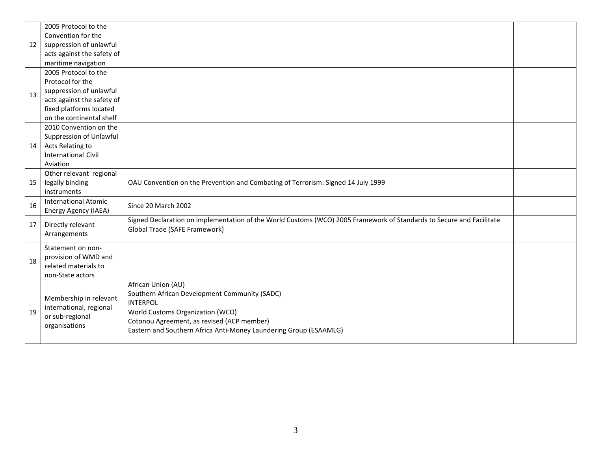| 12 | 2005 Protocol to the<br>Convention for the<br>suppression of unlawful<br>acts against the safety of                                                                             |                                                                                                                                                                                                                                               |  |
|----|---------------------------------------------------------------------------------------------------------------------------------------------------------------------------------|-----------------------------------------------------------------------------------------------------------------------------------------------------------------------------------------------------------------------------------------------|--|
| 13 | maritime navigation<br>2005 Protocol to the<br>Protocol for the<br>suppression of unlawful<br>acts against the safety of<br>fixed platforms located<br>on the continental shelf |                                                                                                                                                                                                                                               |  |
| 14 | 2010 Convention on the<br>Suppression of Unlawful<br>Acts Relating to<br><b>International Civil</b><br>Aviation                                                                 |                                                                                                                                                                                                                                               |  |
| 15 | Other relevant regional<br>legally binding<br>instruments                                                                                                                       | OAU Convention on the Prevention and Combating of Terrorism: Signed 14 July 1999                                                                                                                                                              |  |
| 16 | <b>International Atomic</b><br>Energy Agency (IAEA)                                                                                                                             | Since 20 March 2002                                                                                                                                                                                                                           |  |
| 17 | Directly relevant<br>Arrangements                                                                                                                                               | Signed Declaration on implementation of the World Customs (WCO) 2005 Framework of Standards to Secure and Facilitate<br>Global Trade (SAFE Framework)                                                                                         |  |
| 18 | Statement on non-<br>provision of WMD and<br>related materials to<br>non-State actors                                                                                           |                                                                                                                                                                                                                                               |  |
| 19 | Membership in relevant<br>international, regional<br>or sub-regional<br>organisations                                                                                           | African Union (AU)<br>Southern African Development Community (SADC)<br><b>INTERPOL</b><br>World Customs Organization (WCO)<br>Cotonou Agreement, as revised (ACP member)<br>Eastern and Southern Africa Anti-Money Laundering Group (ESAAMLG) |  |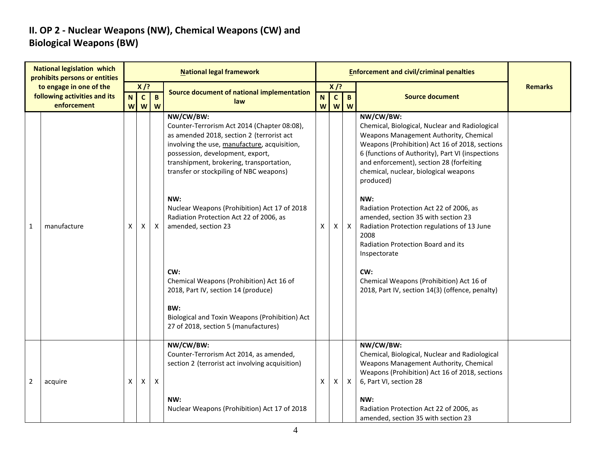#### **II. OP 2 - Nuclear Weapons (NW), Chemical Weapons (CW) and Biological Weapons (BW)**

| <b>National legislation which</b><br>prohibits persons or entities |                                                                        | <b>National legal framework</b> |                             |                   |                                                                                                                                                                                                                                                                                                                                                                                                                                                                                                                                                                                                      |                   |    |                             | <b>Enforcement and civil/criminal penalties</b>                                                                                                                                                                                                                                                                                                                                                                                                                                                                                                                                                                           |                |
|--------------------------------------------------------------------|------------------------------------------------------------------------|---------------------------------|-----------------------------|-------------------|------------------------------------------------------------------------------------------------------------------------------------------------------------------------------------------------------------------------------------------------------------------------------------------------------------------------------------------------------------------------------------------------------------------------------------------------------------------------------------------------------------------------------------------------------------------------------------------------------|-------------------|----|-----------------------------|---------------------------------------------------------------------------------------------------------------------------------------------------------------------------------------------------------------------------------------------------------------------------------------------------------------------------------------------------------------------------------------------------------------------------------------------------------------------------------------------------------------------------------------------------------------------------------------------------------------------------|----------------|
|                                                                    | to engage in one of the<br>following activities and its<br>enforcement | N<br>W                          | $X$ /?<br>$\mathbf{C}$<br>W | $\mathbf{B}$<br>W | <b>Source document of national implementation</b><br>law                                                                                                                                                                                                                                                                                                                                                                                                                                                                                                                                             | N<br>$\mathsf{W}$ |    | $X$ /?<br>$\mathbf{B}$<br>W | <b>Source document</b>                                                                                                                                                                                                                                                                                                                                                                                                                                                                                                                                                                                                    | <b>Remarks</b> |
| 1                                                                  | manufacture                                                            | X                               | X                           | X                 | NW/CW/BW:<br>Counter-Terrorism Act 2014 (Chapter 08:08),<br>as amended 2018, section 2 (terrorist act<br>involving the use, manufacture, acquisition,<br>possession, development, export,<br>transhipment, brokering, transportation,<br>transfer or stockpiling of NBC weapons)<br>NW:<br>Nuclear Weapons (Prohibition) Act 17 of 2018<br>Radiation Protection Act 22 of 2006, as<br>amended, section 23<br>CW:<br>Chemical Weapons (Prohibition) Act 16 of<br>2018, Part IV, section 14 (produce)<br>BW:<br>Biological and Toxin Weapons (Prohibition) Act<br>27 of 2018, section 5 (manufactures) | X                 | X. | $\boldsymbol{\mathsf{X}}$   | NW/CW/BW:<br>Chemical, Biological, Nuclear and Radiological<br>Weapons Management Authority, Chemical<br>Weapons (Prohibition) Act 16 of 2018, sections<br>6 (functions of Authority), Part VI (inspections<br>and enforcement), section 28 (forfeiting<br>chemical, nuclear, biological weapons<br>produced)<br>NW:<br>Radiation Protection Act 22 of 2006, as<br>amended, section 35 with section 23<br>Radiation Protection regulations of 13 June<br>2008<br>Radiation Protection Board and its<br>Inspectorate<br>CW:<br>Chemical Weapons (Prohibition) Act 16 of<br>2018, Part IV, section 14(3) (offence, penalty) |                |
| 2                                                                  | acquire                                                                | Χ                               | Χ                           | X                 | NW/CW/BW:<br>Counter-Terrorism Act 2014, as amended,<br>section 2 (terrorist act involving acquisition)<br>NW:<br>Nuclear Weapons (Prohibition) Act 17 of 2018                                                                                                                                                                                                                                                                                                                                                                                                                                       | X                 | X. | $\mathsf{X}$                | NW/CW/BW:<br>Chemical, Biological, Nuclear and Radiological<br>Weapons Management Authority, Chemical<br>Weapons (Prohibition) Act 16 of 2018, sections<br>6, Part VI, section 28<br>NW:<br>Radiation Protection Act 22 of 2006, as<br>amended, section 35 with section 23                                                                                                                                                                                                                                                                                                                                                |                |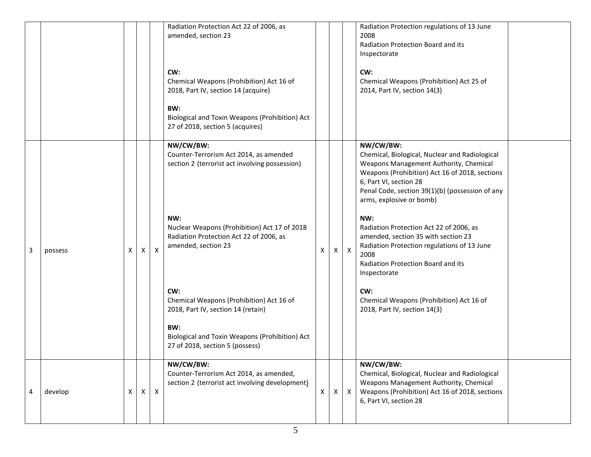|   |         |   |              |              | Radiation Protection Act 22 of 2006, as<br>amended, section 23                                                        |   |              |              | Radiation Protection regulations of 13 June<br>2008<br>Radiation Protection Board and its<br>Inspectorate                                                                                                                                                        |
|---|---------|---|--------------|--------------|-----------------------------------------------------------------------------------------------------------------------|---|--------------|--------------|------------------------------------------------------------------------------------------------------------------------------------------------------------------------------------------------------------------------------------------------------------------|
|   |         |   |              |              | CW:<br>Chemical Weapons (Prohibition) Act 16 of<br>2018, Part IV, section 14 (acquire)                                |   |              |              | CW:<br>Chemical Weapons (Prohibition) Act 25 of<br>2014, Part IV, section 14(3)                                                                                                                                                                                  |
|   |         |   |              |              | BW:<br>Biological and Toxin Weapons (Prohibition) Act<br>27 of 2018, section 5 (acquires)                             |   |              |              |                                                                                                                                                                                                                                                                  |
|   |         |   |              |              | NW/CW/BW:<br>Counter-Terrorism Act 2014, as amended<br>section 2 (terrorist act involving possession)                 |   |              |              | NW/CW/BW:<br>Chemical, Biological, Nuclear and Radiological<br>Weapons Management Authority, Chemical<br>Weapons (Prohibition) Act 16 of 2018, sections<br>6, Part VI, section 28<br>Penal Code, section 39(1)(b) (possession of any<br>arms, explosive or bomb) |
| 3 | possess | X | $\times$     | $\times$     | NW:<br>Nuclear Weapons (Prohibition) Act 17 of 2018<br>Radiation Protection Act 22 of 2006, as<br>amended, section 23 | X | $\mathsf{X}$ | $\mathsf{X}$ | NW:<br>Radiation Protection Act 22 of 2006, as<br>amended, section 35 with section 23<br>Radiation Protection regulations of 13 June<br>2008<br>Radiation Protection Board and its<br>Inspectorate                                                               |
|   |         |   |              |              | CW:<br>Chemical Weapons (Prohibition) Act 16 of<br>2018, Part IV, section 14 (retain)                                 |   |              |              | CW:<br>Chemical Weapons (Prohibition) Act 16 of<br>2018, Part IV, section 14(3)                                                                                                                                                                                  |
|   |         |   |              |              | BW:<br>Biological and Toxin Weapons (Prohibition) Act<br>27 of 2018, section 5 (possess)                              |   |              |              |                                                                                                                                                                                                                                                                  |
| 4 | develop | X | $\mathsf{X}$ | $\mathsf{X}$ | NW/CW/BW:<br>Counter-Terrorism Act 2014, as amended,<br>section 2 (terrorist act involving development)               | x | X            | X            | NW/CW/BW:<br>Chemical, Biological, Nuclear and Radiological<br>Weapons Management Authority, Chemical<br>Weapons (Prohibition) Act 16 of 2018, sections<br>6, Part VI, section 28                                                                                |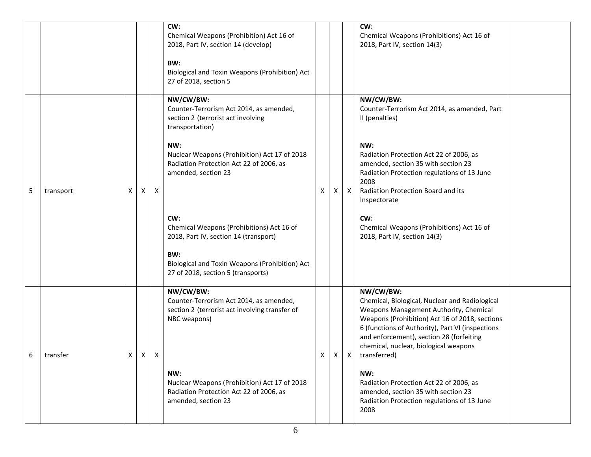|   |           |                |                |                           | CW:<br>Chemical Weapons (Prohibition) Act 16 of<br>2018, Part IV, section 14 (develop)<br>BW:<br>Biological and Toxin Weapons (Prohibition) Act<br>27 of 2018, section 5                 |   |              |   | CW:<br>Chemical Weapons (Prohibitions) Act 16 of<br>2018, Part IV, section 14(3)                                                                                                                                                                                                                                   |  |
|---|-----------|----------------|----------------|---------------------------|------------------------------------------------------------------------------------------------------------------------------------------------------------------------------------------|---|--------------|---|--------------------------------------------------------------------------------------------------------------------------------------------------------------------------------------------------------------------------------------------------------------------------------------------------------------------|--|
|   |           |                |                |                           | NW/CW/BW:<br>Counter-Terrorism Act 2014, as amended,<br>section 2 (terrorist act involving<br>transportation)<br>NW:                                                                     |   |              |   | NW/CW/BW:<br>Counter-Terrorism Act 2014, as amended, Part<br>II (penalties)<br>NW:                                                                                                                                                                                                                                 |  |
| 5 | transport | X              | X              | Χ                         | Nuclear Weapons (Prohibition) Act 17 of 2018<br>Radiation Protection Act 22 of 2006, as<br>amended, section 23                                                                           | X | Χ            | Χ | Radiation Protection Act 22 of 2006, as<br>amended, section 35 with section 23<br>Radiation Protection regulations of 13 June<br>2008<br>Radiation Protection Board and its<br>Inspectorate                                                                                                                        |  |
|   |           |                |                |                           | CW:<br>Chemical Weapons (Prohibitions) Act 16 of<br>2018, Part IV, section 14 (transport)<br>BW:<br>Biological and Toxin Weapons (Prohibition) Act<br>27 of 2018, section 5 (transports) |   |              |   | CW:<br>Chemical Weapons (Prohibitions) Act 16 of<br>2018, Part IV, section 14(3)                                                                                                                                                                                                                                   |  |
| 6 | transfer  | $\mathsf{X}^-$ | $\mathsf{X}^-$ | $\boldsymbol{\mathsf{X}}$ | NW/CW/BW:<br>Counter-Terrorism Act 2014, as amended,<br>section 2 (terrorist act involving transfer of<br>NBC weapons)                                                                   | X | $\mathsf{X}$ |   | NW/CW/BW:<br>Chemical, Biological, Nuclear and Radiological<br>Weapons Management Authority, Chemical<br>Weapons (Prohibition) Act 16 of 2018, sections<br>6 (functions of Authority), Part VI (inspections<br>and enforcement), section 28 (forfeiting<br>chemical, nuclear, biological weapons<br>X transferred) |  |
|   |           |                |                |                           | NW:<br>Nuclear Weapons (Prohibition) Act 17 of 2018<br>Radiation Protection Act 22 of 2006, as<br>amended, section 23                                                                    |   |              |   | NW:<br>Radiation Protection Act 22 of 2006, as<br>amended, section 35 with section 23<br>Radiation Protection regulations of 13 June<br>2008                                                                                                                                                                       |  |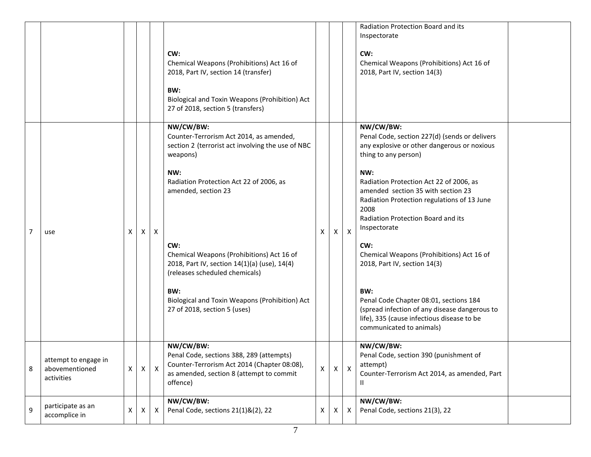|   |                                                      |   |   |              | CW:<br>Chemical Weapons (Prohibitions) Act 16 of<br>2018, Part IV, section 14 (transfer)<br>BW:<br>Biological and Toxin Weapons (Prohibition) Act<br>27 of 2018, section 5 (transfers)                                                                                                                                                                                                                                        |              |    |              | Radiation Protection Board and its<br>Inspectorate<br>CW:<br>Chemical Weapons (Prohibitions) Act 16 of<br>2018, Part IV, section 14(3)                                                                                                                                                                                                                                                                                                                                                                                                                                                                 |
|---|------------------------------------------------------|---|---|--------------|-------------------------------------------------------------------------------------------------------------------------------------------------------------------------------------------------------------------------------------------------------------------------------------------------------------------------------------------------------------------------------------------------------------------------------|--------------|----|--------------|--------------------------------------------------------------------------------------------------------------------------------------------------------------------------------------------------------------------------------------------------------------------------------------------------------------------------------------------------------------------------------------------------------------------------------------------------------------------------------------------------------------------------------------------------------------------------------------------------------|
| 7 | use                                                  | X | X | X            | NW/CW/BW:<br>Counter-Terrorism Act 2014, as amended,<br>section 2 (terrorist act involving the use of NBC<br>weapons)<br>NW:<br>Radiation Protection Act 22 of 2006, as<br>amended, section 23<br>CW:<br>Chemical Weapons (Prohibitions) Act 16 of<br>2018, Part IV, section 14(1)(a) (use), 14(4)<br>(releases scheduled chemicals)<br>BW:<br>Biological and Toxin Weapons (Prohibition) Act<br>27 of 2018, section 5 (uses) | X            | X. | $\mathsf{X}$ | NW/CW/BW:<br>Penal Code, section 227(d) (sends or delivers<br>any explosive or other dangerous or noxious<br>thing to any person)<br>NW:<br>Radiation Protection Act 22 of 2006, as<br>amended section 35 with section 23<br>Radiation Protection regulations of 13 June<br>2008<br>Radiation Protection Board and its<br>Inspectorate<br>CW:<br>Chemical Weapons (Prohibitions) Act 16 of<br>2018, Part IV, section 14(3)<br>BW:<br>Penal Code Chapter 08:01, sections 184<br>(spread infection of any disease dangerous to<br>life), 335 (cause infectious disease to be<br>communicated to animals) |
| 8 | attempt to engage in<br>abovementioned<br>activities | X | X | $\mathsf{X}$ | NW/CW/BW:<br>Penal Code, sections 388, 289 (attempts)<br>Counter-Terrorism Act 2014 (Chapter 08:08),<br>as amended, section 8 (attempt to commit<br>offence)                                                                                                                                                                                                                                                                  | $\mathsf{X}$ | X. | $\mathsf{X}$ | NW/CW/BW:<br>Penal Code, section 390 (punishment of<br>attempt)<br>Counter-Terrorism Act 2014, as amended, Part<br>Ш                                                                                                                                                                                                                                                                                                                                                                                                                                                                                   |
| 9 | participate as an<br>accomplice in                   | х | X | X            | NW/CW/BW:<br>Penal Code, sections 21(1)&(2), 22                                                                                                                                                                                                                                                                                                                                                                               | X            | X. | X            | NW/CW/BW:<br>Penal Code, sections 21(3), 22                                                                                                                                                                                                                                                                                                                                                                                                                                                                                                                                                            |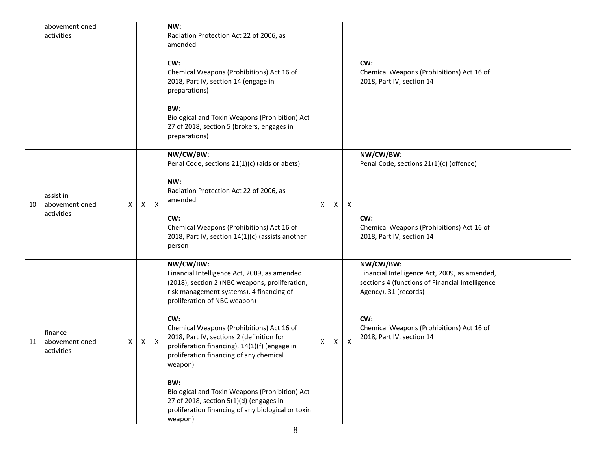|    | abovementioned<br>activities              |   |              |              | NW:<br>Radiation Protection Act 22 of 2006, as<br>amended<br>CW:<br>Chemical Weapons (Prohibitions) Act 16 of<br>2018, Part IV, section 14 (engage in<br>preparations)<br>BW:<br>Biological and Toxin Weapons (Prohibition) Act<br>27 of 2018, section 5 (brokers, engages in<br>preparations)                                                                                                                                                                                                                                                                       |   |   |              | CW:<br>Chemical Weapons (Prohibitions) Act 16 of<br>2018, Part IV, section 14                                                                                                                                           |  |
|----|-------------------------------------------|---|--------------|--------------|----------------------------------------------------------------------------------------------------------------------------------------------------------------------------------------------------------------------------------------------------------------------------------------------------------------------------------------------------------------------------------------------------------------------------------------------------------------------------------------------------------------------------------------------------------------------|---|---|--------------|-------------------------------------------------------------------------------------------------------------------------------------------------------------------------------------------------------------------------|--|
| 10 | assist in<br>abovementioned<br>activities | х | X            | $\mathsf{X}$ | NW/CW/BW:<br>Penal Code, sections 21(1)(c) (aids or abets)<br>NW:<br>Radiation Protection Act 22 of 2006, as<br>amended<br>CW:<br>Chemical Weapons (Prohibitions) Act 16 of<br>2018, Part IV, section 14(1)(c) (assists another<br>person                                                                                                                                                                                                                                                                                                                            | X | Χ | $\mathsf{X}$ | NW/CW/BW:<br>Penal Code, sections 21(1)(c) (offence)<br>CW:<br>Chemical Weapons (Prohibitions) Act 16 of<br>2018, Part IV, section 14                                                                                   |  |
| 11 | finance<br>abovementioned<br>activities   | X | $\mathsf{X}$ | $\mathsf{X}$ | NW/CW/BW:<br>Financial Intelligence Act, 2009, as amended<br>(2018), section 2 (NBC weapons, proliferation,<br>risk management systems), 4 financing of<br>proliferation of NBC weapon)<br>CW:<br>Chemical Weapons (Prohibitions) Act 16 of<br>2018, Part IV, sections 2 (definition for<br>proliferation financing), 14(1)(f) (engage in<br>proliferation financing of any chemical<br>weapon)<br>BW:<br>Biological and Toxin Weapons (Prohibition) Act<br>27 of 2018, section 5(1)(d) (engages in<br>proliferation financing of any biological or toxin<br>weapon) | X | X | X            | NW/CW/BW:<br>Financial Intelligence Act, 2009, as amended,<br>sections 4 (functions of Financial Intelligence<br>Agency), 31 (records)<br>CW:<br>Chemical Weapons (Prohibitions) Act 16 of<br>2018, Part IV, section 14 |  |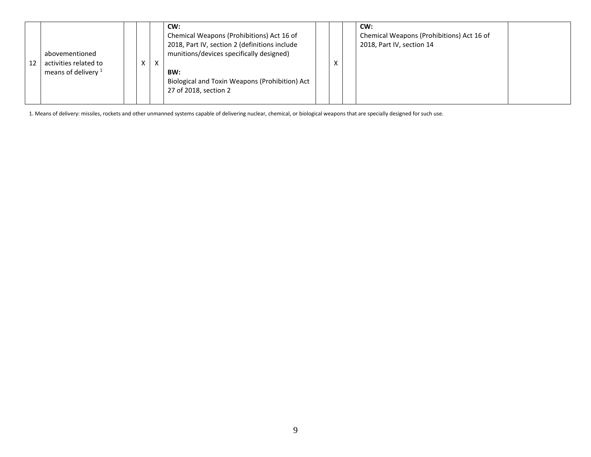| CW:<br>abovementioned<br>activities related to<br>X<br>х<br>12<br>means of delivery <sup>1</sup><br>BW:<br>27 of 2018, section 2 | Chemical Weapons (Prohibitions) Act 16 of<br>2018, Part IV, section 2 (definitions include<br>munitions/devices specifically designed)<br>Biological and Toxin Weapons (Prohibition) Act | $\mathbf v$ | CW:<br>Chemical Weapons (Prohibitions) Act 16 of<br>2018, Part IV, section 14 |  |
|----------------------------------------------------------------------------------------------------------------------------------|------------------------------------------------------------------------------------------------------------------------------------------------------------------------------------------|-------------|-------------------------------------------------------------------------------|--|
|----------------------------------------------------------------------------------------------------------------------------------|------------------------------------------------------------------------------------------------------------------------------------------------------------------------------------------|-------------|-------------------------------------------------------------------------------|--|

1. Means of delivery: missiles, rockets and other unmanned systems capable of delivering nuclear, chemical, or biological weapons that are specially designed for such use.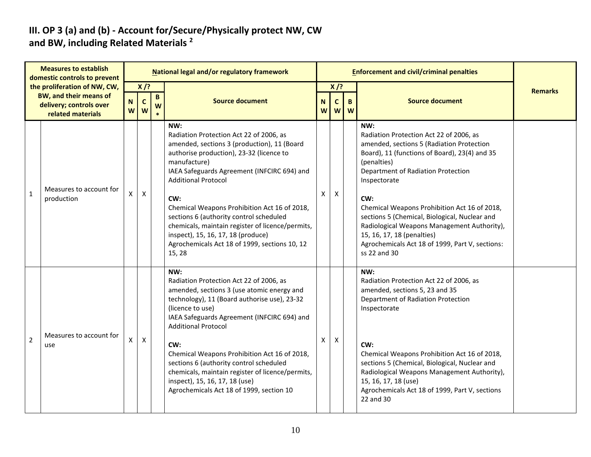#### **III. OP 3 (a) and (b) - Account for/Secure/Physically protect NW, CW and BW, including Related Materials <sup>2</sup>**

|                | <b>Measures to establish</b><br>domestic controls to prevent                                                  |                  |                            |                   | National legal and/or regulatory framework                                                                                                                                                                                                                                                                                                                                                                                                                                                    |                  |                            |         | <b>Enforcement and civil/criminal penalties</b>                                                                                                                                                                                                                                                                                                                                                                                                                           |                |
|----------------|---------------------------------------------------------------------------------------------------------------|------------------|----------------------------|-------------------|-----------------------------------------------------------------------------------------------------------------------------------------------------------------------------------------------------------------------------------------------------------------------------------------------------------------------------------------------------------------------------------------------------------------------------------------------------------------------------------------------|------------------|----------------------------|---------|---------------------------------------------------------------------------------------------------------------------------------------------------------------------------------------------------------------------------------------------------------------------------------------------------------------------------------------------------------------------------------------------------------------------------------------------------------------------------|----------------|
|                | the proliferation of NW, CW,<br><b>BW, and their means of</b><br>delivery; controls over<br>related materials | $\mathbf N$<br>W | $X$ /?<br>$\mathbf c$<br>W | $\mathbf{B}$<br>W | <b>Source document</b>                                                                                                                                                                                                                                                                                                                                                                                                                                                                        | $\mathbf N$<br>W | $X$ /?<br>$\mathbf c$<br>W | B.<br>W | <b>Source document</b>                                                                                                                                                                                                                                                                                                                                                                                                                                                    | <b>Remarks</b> |
| $\mathbf{1}$   | Measures to account for<br>production                                                                         | X                | X                          |                   | NW:<br>Radiation Protection Act 22 of 2006, as<br>amended, sections 3 (production), 11 (Board<br>authorise production), 23-32 (licence to<br>manufacture)<br>IAEA Safeguards Agreement (INFCIRC 694) and<br><b>Additional Protocol</b><br>CW:<br>Chemical Weapons Prohibition Act 16 of 2018,<br>sections 6 (authority control scheduled<br>chemicals, maintain register of licence/permits,<br>inspect), 15, 16, 17, 18 (produce)<br>Agrochemicals Act 18 of 1999, sections 10, 12<br>15, 28 | X                | $\pmb{\times}$             |         | NW:<br>Radiation Protection Act 22 of 2006, as<br>amended, sections 5 (Radiation Protection<br>Board), 11 (functions of Board), 23(4) and 35<br>(penalties)<br>Department of Radiation Protection<br>Inspectorate<br>CW:<br>Chemical Weapons Prohibition Act 16 of 2018,<br>sections 5 (Chemical, Biological, Nuclear and<br>Radiological Weapons Management Authority),<br>15, 16, 17, 18 (penalties)<br>Agrochemicals Act 18 of 1999, Part V, sections:<br>ss 22 and 30 |                |
| $\overline{2}$ | Measures to account for<br>use                                                                                | Χ                | $\pmb{\mathsf{X}}$         |                   | NW:<br>Radiation Protection Act 22 of 2006, as<br>amended, sections 3 (use atomic energy and<br>technology), 11 (Board authorise use), 23-32<br>(licence to use)<br>IAEA Safeguards Agreement (INFCIRC 694) and<br><b>Additional Protocol</b><br>CW:<br>Chemical Weapons Prohibition Act 16 of 2018,<br>sections 6 (authority control scheduled<br>chemicals, maintain register of licence/permits,<br>inspect), 15, 16, 17, 18 (use)<br>Agrochemicals Act 18 of 1999, section 10             | Χ                | $\pmb{\mathsf{X}}$         |         | NW:<br>Radiation Protection Act 22 of 2006, as<br>amended, sections 5, 23 and 35<br>Department of Radiation Protection<br>Inspectorate<br>CW:<br>Chemical Weapons Prohibition Act 16 of 2018,<br>sections 5 (Chemical, Biological, Nuclear and<br>Radiological Weapons Management Authority),<br>15, 16, 17, 18 (use)<br>Agrochemicals Act 18 of 1999, Part V, sections<br>22 and 30                                                                                      |                |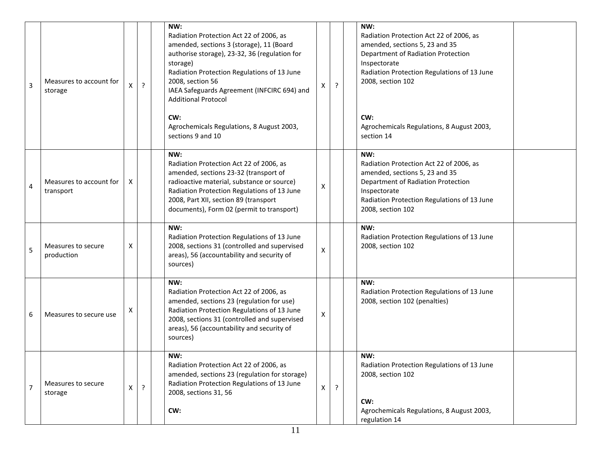| $\overline{3}$ | Measures to account for<br>storage   | X                  | ۶.             | NW:<br>Radiation Protection Act 22 of 2006, as<br>amended, sections 3 (storage), 11 (Board<br>authorise storage), 23-32, 36 (regulation for<br>storage)<br>Radiation Protection Regulations of 13 June<br>2008, section 56<br>IAEA Safeguards Agreement (INFCIRC 694) and<br><b>Additional Protocol</b><br>CW:<br>Agrochemicals Regulations, 8 August 2003,<br>sections 9 and 10 | Χ                  | ?              | NW:<br>Radiation Protection Act 22 of 2006, as<br>amended, sections 5, 23 and 35<br>Department of Radiation Protection<br>Inspectorate<br>Radiation Protection Regulations of 13 June<br>2008, section 102<br>CW:<br>Agrochemicals Regulations, 8 August 2003,<br>section 14 |  |
|----------------|--------------------------------------|--------------------|----------------|----------------------------------------------------------------------------------------------------------------------------------------------------------------------------------------------------------------------------------------------------------------------------------------------------------------------------------------------------------------------------------|--------------------|----------------|------------------------------------------------------------------------------------------------------------------------------------------------------------------------------------------------------------------------------------------------------------------------------|--|
| 4              | Measures to account for<br>transport | X                  |                | NW:<br>Radiation Protection Act 22 of 2006, as<br>amended, sections 23-32 (transport of<br>radioactive material, substance or source)<br>Radiation Protection Regulations of 13 June<br>2008, Part XII, section 89 (transport<br>documents), Form 02 (permit to transport)                                                                                                       | $\pmb{\mathsf{X}}$ |                | NW:<br>Radiation Protection Act 22 of 2006, as<br>amended, sections 5, 23 and 35<br>Department of Radiation Protection<br>Inspectorate<br>Radiation Protection Regulations of 13 June<br>2008, section 102                                                                   |  |
| 5              | Measures to secure<br>production     | х                  |                | NW:<br>Radiation Protection Regulations of 13 June<br>2008, sections 31 (controlled and supervised<br>areas), 56 (accountability and security of<br>sources)                                                                                                                                                                                                                     | X                  |                | NW:<br>Radiation Protection Regulations of 13 June<br>2008, section 102                                                                                                                                                                                                      |  |
| 6              | Measures to secure use               | X                  |                | NW:<br>Radiation Protection Act 22 of 2006, as<br>amended, sections 23 (regulation for use)<br>Radiation Protection Regulations of 13 June<br>2008, sections 31 (controlled and supervised<br>areas), 56 (accountability and security of<br>sources)                                                                                                                             | Χ                  |                | NW:<br>Radiation Protection Regulations of 13 June<br>2008, section 102 (penalties)                                                                                                                                                                                          |  |
| $\overline{7}$ | Measures to secure<br>storage        | $\pmb{\mathsf{X}}$ | $\overline{?}$ | NW:<br>Radiation Protection Act 22 of 2006, as<br>amended, sections 23 (regulation for storage)<br>Radiation Protection Regulations of 13 June<br>2008, sections 31, 56<br>CW:                                                                                                                                                                                                   | X                  | $\overline{?}$ | NW:<br>Radiation Protection Regulations of 13 June<br>2008, section 102<br>CW:<br>Agrochemicals Regulations, 8 August 2003,<br>regulation 14                                                                                                                                 |  |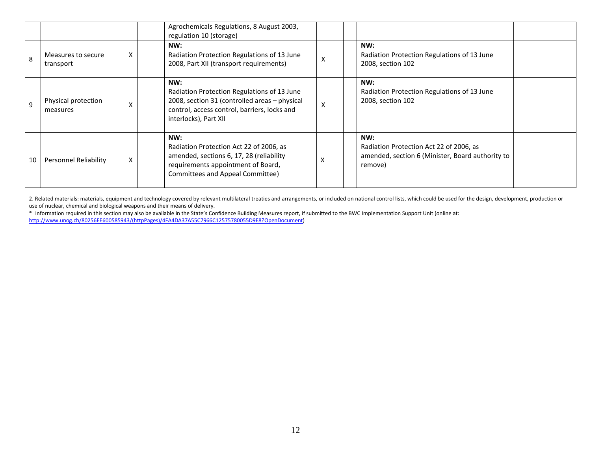|              |                                 |   | Agrochemicals Regulations, 8 August 2003,<br>regulation 10 (storage)                                                                                                         |   |                                                                                                               |  |
|--------------|---------------------------------|---|------------------------------------------------------------------------------------------------------------------------------------------------------------------------------|---|---------------------------------------------------------------------------------------------------------------|--|
| $\mathbf{8}$ | Measures to secure<br>transport | X | NW:<br>Radiation Protection Regulations of 13 June<br>2008, Part XII (transport requirements)                                                                                | X | NW:<br>Radiation Protection Regulations of 13 June<br>2008, section 102                                       |  |
| $\mathsf{q}$ | Physical protection<br>measures | X | NW:<br>Radiation Protection Regulations of 13 June<br>2008, section 31 (controlled areas - physical<br>control, access control, barriers, locks and<br>interlocks), Part XII | X | NW:<br>Radiation Protection Regulations of 13 June<br>2008, section 102                                       |  |
| 10           | Personnel Reliability           | X | NW:<br>Radiation Protection Act 22 of 2006, as<br>amended, sections 6, 17, 28 (reliability<br>requirements appointment of Board,<br>Committees and Appeal Committee)         |   | NW:<br>Radiation Protection Act 22 of 2006, as<br>amended, section 6 (Minister, Board authority to<br>remove) |  |

2. Related materials: materials, equipment and technology covered by relevant multilateral treaties and arrangements, or included on national control lists, which could be used for the design, development, production or use of nuclear, chemical and biological weapons and their means of delivery.

\* Information required in this section may also be available in the State's Confidence Building Measures report, if submitted to the BWC Implementation Support Unit (online at: [http://www.unog.ch/80256EE600585943/\(httpPages\)/4FA4DA37A55C7966C12575780055D9E8?OpenDocument\)](http://www.unog.ch/80256EE600585943/(httpPages)/4FA4DA37A55C7966C12575780055D9E8?OpenDocument)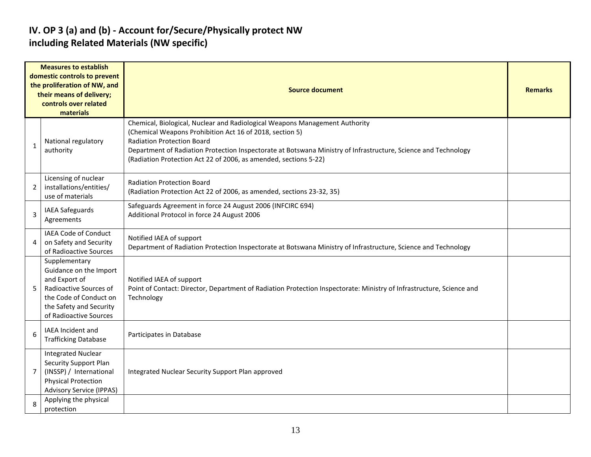#### **IV. OP 3 (a) and (b) - Account for/Secure/Physically protect NW including Related Materials (NW specific)**

| <b>Measures to establish</b><br>domestic controls to prevent<br>the proliferation of NW, and<br>their means of delivery;<br>controls over related<br>materials |                                                                                                                                                                   | <b>Source document</b>                                                                                                                                                                                                                                                                                                                                             |  |  |  |  |  |
|----------------------------------------------------------------------------------------------------------------------------------------------------------------|-------------------------------------------------------------------------------------------------------------------------------------------------------------------|--------------------------------------------------------------------------------------------------------------------------------------------------------------------------------------------------------------------------------------------------------------------------------------------------------------------------------------------------------------------|--|--|--|--|--|
| $\mathbf{1}$                                                                                                                                                   | National regulatory<br>authority                                                                                                                                  | Chemical, Biological, Nuclear and Radiological Weapons Management Authority<br>(Chemical Weapons Prohibition Act 16 of 2018, section 5)<br><b>Radiation Protection Board</b><br>Department of Radiation Protection Inspectorate at Botswana Ministry of Infrastructure, Science and Technology<br>(Radiation Protection Act 22 of 2006, as amended, sections 5-22) |  |  |  |  |  |
| 2                                                                                                                                                              | Licensing of nuclear<br>installations/entities/<br>use of materials                                                                                               | <b>Radiation Protection Board</b><br>(Radiation Protection Act 22 of 2006, as amended, sections 23-32, 35)                                                                                                                                                                                                                                                         |  |  |  |  |  |
| 3                                                                                                                                                              | <b>IAEA Safeguards</b><br>Agreements                                                                                                                              | Safeguards Agreement in force 24 August 2006 (INFCIRC 694)<br>Additional Protocol in force 24 August 2006                                                                                                                                                                                                                                                          |  |  |  |  |  |
| 4                                                                                                                                                              | <b>IAEA Code of Conduct</b><br>on Safety and Security<br>of Radioactive Sources                                                                                   | Notified IAEA of support<br>Department of Radiation Protection Inspectorate at Botswana Ministry of Infrastructure, Science and Technology                                                                                                                                                                                                                         |  |  |  |  |  |
| 5                                                                                                                                                              | Supplementary<br>Guidance on the Import<br>and Export of<br>Radioactive Sources of<br>the Code of Conduct on<br>the Safety and Security<br>of Radioactive Sources | Notified IAEA of support<br>Point of Contact: Director, Department of Radiation Protection Inspectorate: Ministry of Infrastructure, Science and<br>Technology                                                                                                                                                                                                     |  |  |  |  |  |
| 6                                                                                                                                                              | <b>IAEA Incident and</b><br><b>Trafficking Database</b>                                                                                                           | Participates in Database                                                                                                                                                                                                                                                                                                                                           |  |  |  |  |  |
| $\overline{7}$                                                                                                                                                 | <b>Integrated Nuclear</b><br><b>Security Support Plan</b><br>(INSSP) / International<br><b>Physical Protection</b><br><b>Advisory Service (IPPAS)</b>             | Integrated Nuclear Security Support Plan approved                                                                                                                                                                                                                                                                                                                  |  |  |  |  |  |
| 8                                                                                                                                                              | Applying the physical<br>protection                                                                                                                               |                                                                                                                                                                                                                                                                                                                                                                    |  |  |  |  |  |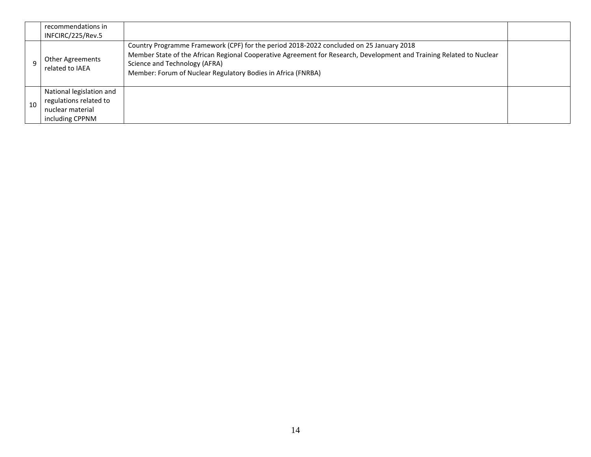|    | recommendations in<br>INFCIRC/225/Rev.5                                                   |                                                                                                                                                                                                                                                                                                                  |  |
|----|-------------------------------------------------------------------------------------------|------------------------------------------------------------------------------------------------------------------------------------------------------------------------------------------------------------------------------------------------------------------------------------------------------------------|--|
|    | Other Agreements<br>related to IAEA                                                       | Country Programme Framework (CPF) for the period 2018-2022 concluded on 25 January 2018<br>Member State of the African Regional Cooperative Agreement for Research, Development and Training Related to Nuclear<br>Science and Technology (AFRA)<br>Member: Forum of Nuclear Regulatory Bodies in Africa (FNRBA) |  |
| 10 | National legislation and<br>regulations related to<br>nuclear material<br>including CPPNM |                                                                                                                                                                                                                                                                                                                  |  |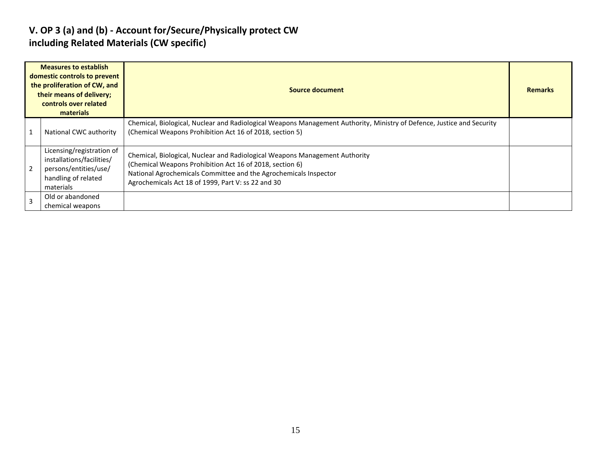#### **V. OP 3 (a) and (b) - Account for/Secure/Physically protect CW including Related Materials (CW specific)**

|                | <b>Measures to establish</b><br>domestic controls to prevent<br>the proliferation of CW, and<br>their means of delivery;<br>controls over related<br>materials | Source document                                                                                                                                                                                                                                                   |  |  |  |  |
|----------------|----------------------------------------------------------------------------------------------------------------------------------------------------------------|-------------------------------------------------------------------------------------------------------------------------------------------------------------------------------------------------------------------------------------------------------------------|--|--|--|--|
|                | National CWC authority                                                                                                                                         | Chemical, Biological, Nuclear and Radiological Weapons Management Authority, Ministry of Defence, Justice and Security<br>(Chemical Weapons Prohibition Act 16 of 2018, section 5)                                                                                |  |  |  |  |
|                | Licensing/registration of<br>installations/facilities/<br>persons/entities/use/<br>handling of related<br>materials                                            | Chemical, Biological, Nuclear and Radiological Weapons Management Authority<br>(Chemical Weapons Prohibition Act 16 of 2018, section 6)<br>National Agrochemicals Committee and the Agrochemicals Inspector<br>Agrochemicals Act 18 of 1999, Part V: ss 22 and 30 |  |  |  |  |
| $\overline{3}$ | Old or abandoned<br>chemical weapons                                                                                                                           |                                                                                                                                                                                                                                                                   |  |  |  |  |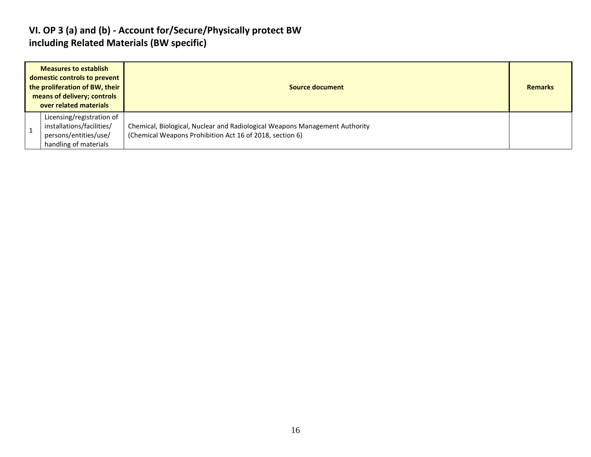#### **VI. OP 3 (a) and (b) - Account for/Secure/Physically protect BW including Related Materials (BW specific)**

| <b>Measures to establish</b><br>domestic controls to prevent<br>the proliferation of BW, their<br>means of delivery; controls<br>over related materials | Source document                                                                                                                         |  |  |  |  |  |
|---------------------------------------------------------------------------------------------------------------------------------------------------------|-----------------------------------------------------------------------------------------------------------------------------------------|--|--|--|--|--|
| Licensing/registration of<br>installations/facilities/<br>persons/entities/use/<br>handling of materials                                                | Chemical, Biological, Nuclear and Radiological Weapons Management Authority<br>(Chemical Weapons Prohibition Act 16 of 2018, section 6) |  |  |  |  |  |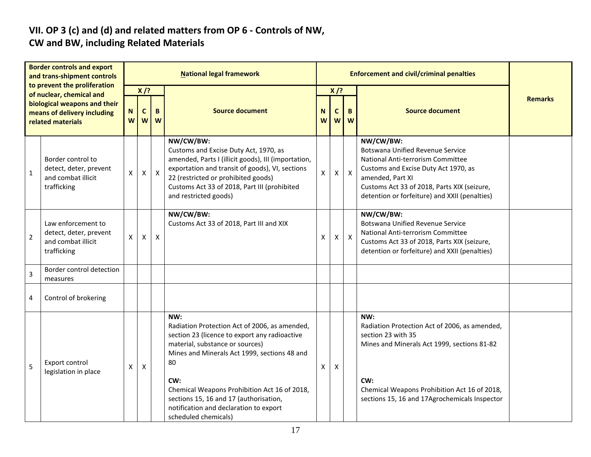# **VII. OP 3 (c) and (d) and related matters from OP 6 - Controls of NW,**

#### **CW and BW, including Related Materials**

| <b>Border controls and export</b><br>and trans-shipment controls                 |                                                                                   | <b>National legal framework</b> |                  |              |                                                                                                                                                                                                                                                                                                                                                                   |        |        | <b>Enforcement and civil/criminal penalties</b> |                                                                                                                                                                                                                                                       |                |  |  |
|----------------------------------------------------------------------------------|-----------------------------------------------------------------------------------|---------------------------------|------------------|--------------|-------------------------------------------------------------------------------------------------------------------------------------------------------------------------------------------------------------------------------------------------------------------------------------------------------------------------------------------------------------------|--------|--------|-------------------------------------------------|-------------------------------------------------------------------------------------------------------------------------------------------------------------------------------------------------------------------------------------------------------|----------------|--|--|
|                                                                                  | to prevent the proliferation<br>of nuclear, chemical and                          |                                 | $X$ /?           |              |                                                                                                                                                                                                                                                                                                                                                                   |        | $X$ /? |                                                 |                                                                                                                                                                                                                                                       | <b>Remarks</b> |  |  |
| biological weapons and their<br>means of delivery including<br>related materials |                                                                                   | N<br>W                          | $\mathbf c$<br>W | B<br>W       | <b>Source document</b>                                                                                                                                                                                                                                                                                                                                            | N<br>W | C<br>W | B<br>W                                          | <b>Source document</b>                                                                                                                                                                                                                                |                |  |  |
| $\mathbf 1$                                                                      | Border control to<br>detect, deter, prevent<br>and combat illicit<br>trafficking  | X                               | $\mathsf{\chi}$  | $\mathsf{X}$ | NW/CW/BW:<br>Customs and Excise Duty Act, 1970, as<br>amended, Parts I (illicit goods), III (importation,<br>exportation and transit of goods), VI, sections<br>22 (restricted or prohibited goods)<br>Customs Act 33 of 2018, Part III (prohibited<br>and restricted goods)                                                                                      | X      | X      | $\mathsf{x}$                                    | NW/CW/BW:<br><b>Botswana Unified Revenue Service</b><br>National Anti-terrorism Committee<br>Customs and Excise Duty Act 1970, as<br>amended, Part XI<br>Customs Act 33 of 2018, Parts XIX (seizure,<br>detention or forfeiture) and XXII (penalties) |                |  |  |
| $\overline{2}$                                                                   | Law enforcement to<br>detect, deter, prevent<br>and combat illicit<br>trafficking | X                               | X                | X            | NW/CW/BW:<br>Customs Act 33 of 2018, Part III and XIX                                                                                                                                                                                                                                                                                                             | X      | X.     | $\boldsymbol{\mathsf{X}}$                       | NW/CW/BW:<br><b>Botswana Unified Revenue Service</b><br>National Anti-terrorism Committee<br>Customs Act 33 of 2018, Parts XIX (seizure,<br>detention or forfeiture) and XXII (penalties)                                                             |                |  |  |
| $\overline{3}$                                                                   | Border control detection<br>measures                                              |                                 |                  |              |                                                                                                                                                                                                                                                                                                                                                                   |        |        |                                                 |                                                                                                                                                                                                                                                       |                |  |  |
| 4                                                                                | Control of brokering                                                              |                                 |                  |              |                                                                                                                                                                                                                                                                                                                                                                   |        |        |                                                 |                                                                                                                                                                                                                                                       |                |  |  |
| 5                                                                                | Export control<br>legislation in place                                            | X                               | $\mathsf{X}$     |              | NW:<br>Radiation Protection Act of 2006, as amended,<br>section 23 (licence to export any radioactive<br>material, substance or sources)<br>Mines and Minerals Act 1999, sections 48 and<br>80<br>CW:<br>Chemical Weapons Prohibition Act 16 of 2018,<br>sections 15, 16 and 17 (authorisation,<br>notification and declaration to export<br>scheduled chemicals) | X      | X      |                                                 | NW:<br>Radiation Protection Act of 2006, as amended,<br>section 23 with 35<br>Mines and Minerals Act 1999, sections 81-82<br>CW:<br>Chemical Weapons Prohibition Act 16 of 2018,<br>sections 15, 16 and 17Agrochemicals Inspector                     |                |  |  |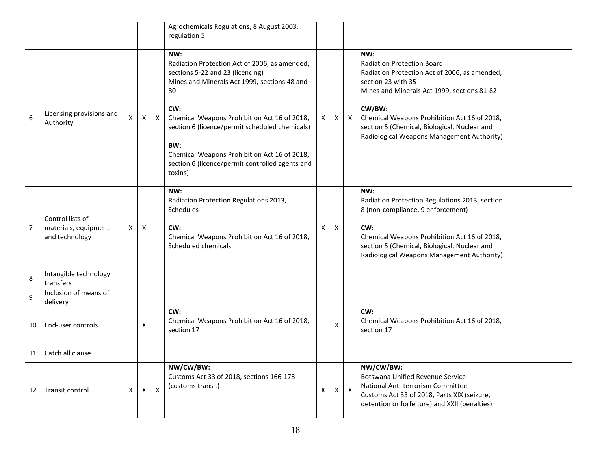|                 |                                                            |   |   |              | Agrochemicals Regulations, 8 August 2003,<br>regulation 5                                                                                                                                                                                                                                                                                                                    |   |   |                  |                                                                                                                                                                                                                                                                                                                        |  |
|-----------------|------------------------------------------------------------|---|---|--------------|------------------------------------------------------------------------------------------------------------------------------------------------------------------------------------------------------------------------------------------------------------------------------------------------------------------------------------------------------------------------------|---|---|------------------|------------------------------------------------------------------------------------------------------------------------------------------------------------------------------------------------------------------------------------------------------------------------------------------------------------------------|--|
| 6               | Licensing provisions and<br>Authority                      | X | X | $\mathsf{X}$ | NW:<br>Radiation Protection Act of 2006, as amended,<br>sections 5-22 and 23 (licencing)<br>Mines and Minerals Act 1999, sections 48 and<br>80<br>CW:<br>Chemical Weapons Prohibition Act 16 of 2018,<br>section 6 (licence/permit scheduled chemicals)<br>BW:<br>Chemical Weapons Prohibition Act 16 of 2018,<br>section 6 (licence/permit controlled agents and<br>toxins) | X | X | $\mathsf{X}$     | NW:<br><b>Radiation Protection Board</b><br>Radiation Protection Act of 2006, as amended,<br>section 23 with 35<br>Mines and Minerals Act 1999, sections 81-82<br>CW/BW:<br>Chemical Weapons Prohibition Act 16 of 2018,<br>section 5 (Chemical, Biological, Nuclear and<br>Radiological Weapons Management Authority) |  |
| 7               | Control lists of<br>materials, equipment<br>and technology | X | X |              | NW:<br>Radiation Protection Regulations 2013,<br>Schedules<br>CW:<br>Chemical Weapons Prohibition Act 16 of 2018,<br>Scheduled chemicals                                                                                                                                                                                                                                     | X | X |                  | NW:<br>Radiation Protection Regulations 2013, section<br>8 (non-compliance, 9 enforcement)<br>CW:<br>Chemical Weapons Prohibition Act 16 of 2018,<br>section 5 (Chemical, Biological, Nuclear and<br>Radiological Weapons Management Authority)                                                                        |  |
| 8               | Intangible technology<br>transfers                         |   |   |              |                                                                                                                                                                                                                                                                                                                                                                              |   |   |                  |                                                                                                                                                                                                                                                                                                                        |  |
| 9               | Inclusion of means of<br>delivery                          |   |   |              |                                                                                                                                                                                                                                                                                                                                                                              |   |   |                  |                                                                                                                                                                                                                                                                                                                        |  |
| 10              | End-user controls                                          |   | X |              | CW:<br>Chemical Weapons Prohibition Act 16 of 2018,<br>section 17                                                                                                                                                                                                                                                                                                            |   | X |                  | CW:<br>Chemical Weapons Prohibition Act 16 of 2018,<br>section 17                                                                                                                                                                                                                                                      |  |
| 11 <sup>1</sup> | Catch all clause                                           |   |   |              |                                                                                                                                                                                                                                                                                                                                                                              |   |   |                  |                                                                                                                                                                                                                                                                                                                        |  |
| 12              | Transit control                                            | X | X | X            | NW/CW/BW:<br>Customs Act 33 of 2018, sections 166-178<br>(customs transit)                                                                                                                                                                                                                                                                                                   | X | X | $\boldsymbol{X}$ | NW/CW/BW:<br><b>Botswana Unified Revenue Service</b><br>National Anti-terrorism Committee<br>Customs Act 33 of 2018, Parts XIX (seizure,<br>detention or forfeiture) and XXII (penalties)                                                                                                                              |  |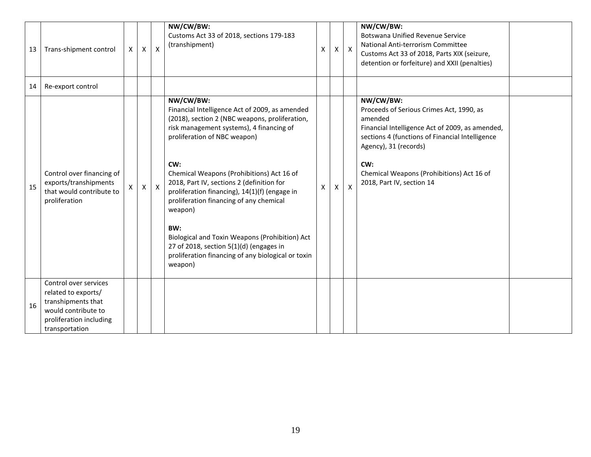| 13 | Trans-shipment control                                                                                                                 | X | $\boldsymbol{\mathsf{X}}$ | $\mathsf{x}$     | NW/CW/BW:<br>Customs Act 33 of 2018, sections 179-183<br>(transhipment)                                                                                                                                                                                                                                                                                                                                                                                                                                                                                                | X | X | $\mathsf{X}$              | NW/CW/BW:<br><b>Botswana Unified Revenue Service</b><br>National Anti-terrorism Committee<br>Customs Act 33 of 2018, Parts XIX (seizure,<br>detention or forfeiture) and XXII (penalties)                                                                                        |  |
|----|----------------------------------------------------------------------------------------------------------------------------------------|---|---------------------------|------------------|------------------------------------------------------------------------------------------------------------------------------------------------------------------------------------------------------------------------------------------------------------------------------------------------------------------------------------------------------------------------------------------------------------------------------------------------------------------------------------------------------------------------------------------------------------------------|---|---|---------------------------|----------------------------------------------------------------------------------------------------------------------------------------------------------------------------------------------------------------------------------------------------------------------------------|--|
| 14 | Re-export control                                                                                                                      |   |                           |                  |                                                                                                                                                                                                                                                                                                                                                                                                                                                                                                                                                                        |   |   |                           |                                                                                                                                                                                                                                                                                  |  |
| 15 | Control over financing of<br>exports/transhipments<br>that would contribute to<br>proliferation                                        | X | $\mathsf{X}$              | $\boldsymbol{X}$ | NW/CW/BW:<br>Financial Intelligence Act of 2009, as amended<br>(2018), section 2 (NBC weapons, proliferation,<br>risk management systems), 4 financing of<br>proliferation of NBC weapon)<br>CW:<br>Chemical Weapons (Prohibitions) Act 16 of<br>2018, Part IV, sections 2 (definition for<br>proliferation financing), 14(1)(f) (engage in<br>proliferation financing of any chemical<br>weapon)<br>BW:<br>Biological and Toxin Weapons (Prohibition) Act<br>27 of 2018, section 5(1)(d) (engages in<br>proliferation financing of any biological or toxin<br>weapon) | X |   | $\boldsymbol{\mathsf{X}}$ | NW/CW/BW:<br>Proceeds of Serious Crimes Act, 1990, as<br>amended<br>Financial Intelligence Act of 2009, as amended,<br>sections 4 (functions of Financial Intelligence<br>Agency), 31 (records)<br>CW:<br>Chemical Weapons (Prohibitions) Act 16 of<br>2018, Part IV, section 14 |  |
| 16 | Control over services<br>related to exports/<br>transhipments that<br>would contribute to<br>proliferation including<br>transportation |   |                           |                  |                                                                                                                                                                                                                                                                                                                                                                                                                                                                                                                                                                        |   |   |                           |                                                                                                                                                                                                                                                                                  |  |